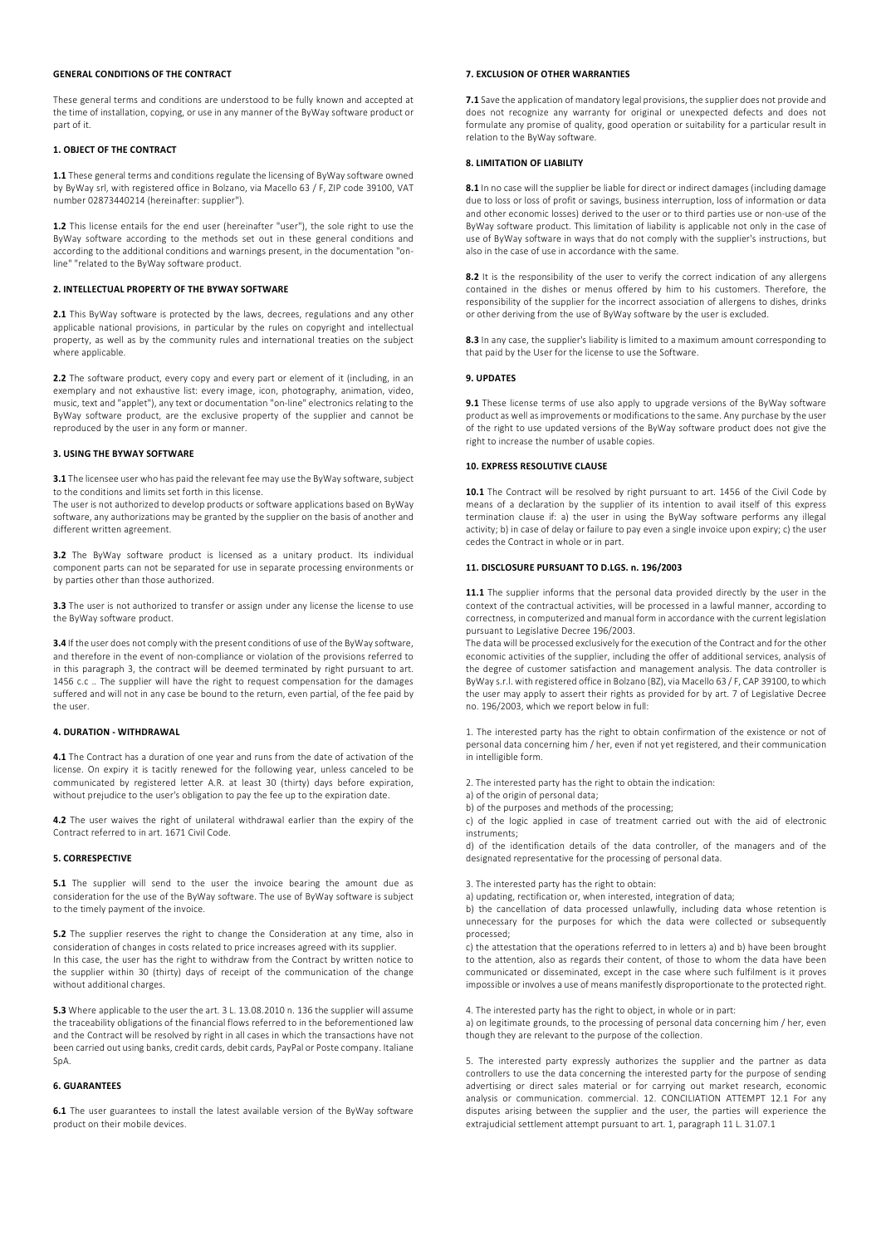# GENERAL CONDITIONS OF THE CONTRACT

These general terms and conditions are understood to be fully known and accepted at the time of installation, copying, or use in any manner of the ByWay software product or part of it.

# 1. OBJECT OF THE CONTRACT

1.1 These general terms and conditions regulate the licensing of ByWay software owned by ByWay srl, with registered office in Bolzano, via Macello 63 / F, ZIP code 39100, VAT number 02873440214 (hereinafter: supplier").

1.2 This license entails for the end user (hereinafter "user"), the sole right to use the ByWay software according to the methods set out in these general conditions and according to the additional conditions and warnings present, in the documentation "online" "related to the ByWay software product.

#### 2. INTELLECTUAL PROPERTY OF THE BYWAY SOFTWARE

2.1 This ByWay software is protected by the laws, decrees, regulations and any other applicable national provisions, in particular by the rules on copyright and intellectual property, as well as by the community rules and international treaties on the subject where applicable.

2.2 The software product, every copy and every part or element of it (including, in an exemplary and not exhaustive list: every image, icon, photography, animation, video, music, text and "applet"), any text or documentation "on-line" electronics relating to the ByWay software product, are the exclusive property of the supplier and cannot be reproduced by the user in any form or manner.

# 3. USING THE BYWAY SOFTWARE

3.1 The licensee user who has paid the relevant fee may use the ByWay software, subject to the conditions and limits set forth in this license.

The user is not authorized to develop products or software applications based on ByWay software, any authorizations may be granted by the supplier on the basis of another and different written agreement.

3.2 The ByWay software product is licensed as a unitary product. Its individual component parts can not be separated for use in separate processing environments or by parties other than those authorized.

3.3 The user is not authorized to transfer or assign under any license the license to use the ByWay software product.

3.4 If the user does not comply with the present conditions of use of the ByWay software, and therefore in the event of non-compliance or violation of the provisions referred to in this paragraph 3, the contract will be deemed terminated by right pursuant to art. 1456 c.c .. The supplier will have the right to request compensation for the damages suffered and will not in any case be bound to the return, even partial, of the fee paid by the user.

#### 4. DURATION - WITHDRAWAL

4.1 The Contract has a duration of one year and runs from the date of activation of the license. On expiry it is tacitly renewed for the following year, unless canceled to be communicated by registered letter A.R. at least 30 (thirty) days before expiration, without prejudice to the user's obligation to pay the fee up to the expiration date

4.2 The user waives the right of unilateral withdrawal earlier than the expiry of the Contract referred to in art. 1671 Civil Code.

#### 5. CORRESPECTIVE

5.1 The supplier will send to the user the invoice bearing the amount due as consideration for the use of the ByWay software. The use of ByWay software is subject to the timely payment of the invoice.

5.2 The supplier reserves the right to change the Consideration at any time, also in consideration of changes in costs related to price increases agreed with its supplier. In this case, the user has the right to withdraw from the Contract by written notice to the supplier within 30 (thirty) days of receipt of the communication of the change without additional charges.

5.3 Where applicable to the user the art. 3 L. 13.08.2010 n. 136 the supplier will assume the traceability obligations of the financial flows referred to in the beforementioned law and the Contract will be resolved by right in all cases in which the transactions have not been carried out using banks, credit cards, debit cards, PayPal or Poste company. Italiane SpA.

#### 6. GUARANTEES

6.1 The user guarantees to install the latest available version of the ByWay software product on their mobile devices.

### 7. EXCLUSION OF OTHER WARRANTIES

7.1 Save the application of mandatory legal provisions, the supplier does not provide and does not recognize any warranty for original or unexpected defects and does not formulate any promise of quality, good operation or suitability for a particular result in relation to the ByWay software.

# 8. LIMITATION OF LIABILITY

8.1 In no case will the supplier be liable for direct or indirect damages (including damage due to loss or loss of profit or savings, business interruption, loss of information or data and other economic losses) derived to the user or to third parties use or non-use of the ByWay software product. This limitation of liability is applicable not only in the case of use of ByWay software in ways that do not comply with the supplier's instructions, but also in the case of use in accordance with the same.

8.2 It is the responsibility of the user to verify the correct indication of any allergens contained in the dishes or menus offered by him to his customers. Therefore, the responsibility of the supplier for the incorrect association of allergens to dishes, drinks or other deriving from the use of ByWay software by the user is excluded.

8.3 In any case, the supplier's liability is limited to a maximum amount corresponding to that paid by the User for the license to use the Software.

# 9. UPDATES

9.1 These license terms of use also apply to upgrade versions of the ByWay software product as well as improvements or modifications to the same. Any purchase by the user of the right to use updated versions of the ByWay software product does not give the right to increase the number of usable copies.

#### 10. EXPRESS RESOLUTIVE CLAUSE

10.1 The Contract will be resolved by right pursuant to art. 1456 of the Civil Code by means of a declaration by the supplier of its intention to avail itself of this express termination clause if: a) the user in using the ByWay software performs any illegal activity; b) in case of delay or failure to pay even a single invoice upon expiry; c) the user cedes the Contract in whole or in part.

#### 11. DISCLOSURE PURSUANT TO D.LGS. n. 196/2003

11.1 The supplier informs that the personal data provided directly by the user in the context of the contractual activities, will be processed in a lawful manner, according to correctness, in computerized and manual form in accordance with the current legislation pursuant to Legislative Decree 196/2003.

The data will be processed exclusively for the execution of the Contract and for the other economic activities of the supplier, including the offer of additional services, analysis of the degree of customer satisfaction and management analysis. The data controller is ByWay s.r.l. with registered office in Bolzano (BZ), via Macello 63 / F, CAP 39100, to which the user may apply to assert their rights as provided for by art. 7 of Legislative Decree no. 196/2003, which we report below in full:

1. The interested party has the right to obtain confirmation of the existence or not of personal data concerning him / her, even if not yet registered, and their communication in intelligible form.

2. The interested party has the right to obtain the indication:

a) of the origin of personal data;

b) of the purposes and methods of the processing;

c) of the logic applied in case of treatment carried out with the aid of electronic instruments;

d) of the identification details of the data controller, of the managers and of the designated representative for the processing of personal data.

3. The interested party has the right to obtain:

a) updating, rectification or, when interested, integration of data;

b) the cancellation of data processed unlawfully, including data whose retention is unnecessary for the purposes for which the data were collected or subsequently processed;

c) the attestation that the operations referred to in letters a) and b) have been brought to the attention, also as regards their content, of those to whom the data have been communicated or disseminated, except in the case where such fulfilment is it proves impossible or involves a use of means manifestly disproportionate to the protected right.

4. The interested party has the right to object, in whole or in part:

a) on legitimate grounds, to the processing of personal data concerning him / her, even though they are relevant to the purpose of the collection.

5. The interested party expressly authorizes the supplier and the partner as data controllers to use the data concerning the interested party for the purpose of sending advertising or direct sales material or for carrying out market research, economic analysis or communication. commercial. 12. CONCILIATION ATTEMPT 12.1 For any disputes arising between the supplier and the user, the parties will experience the extrajudicial settlement attempt pursuant to art. 1, paragraph 11 L. 31.07.1